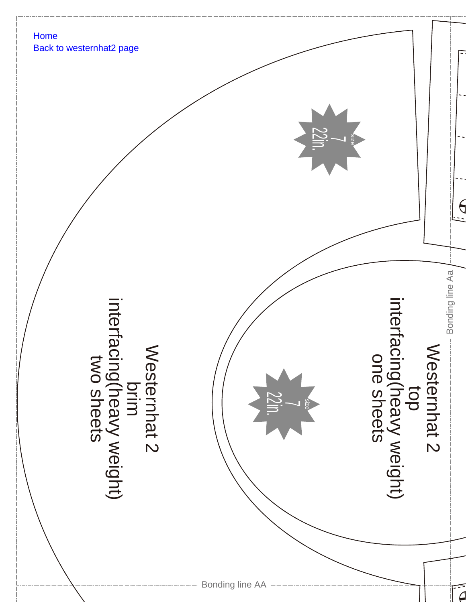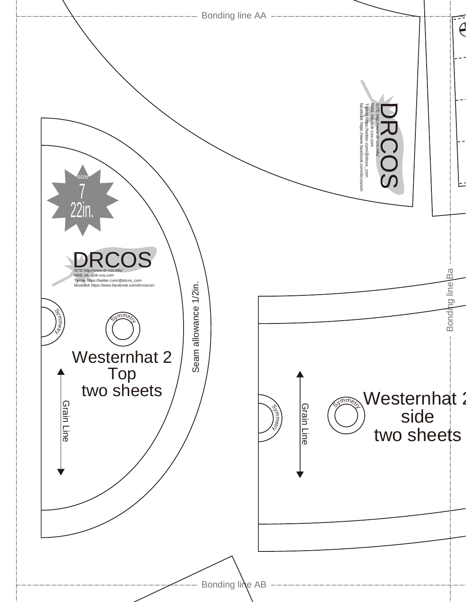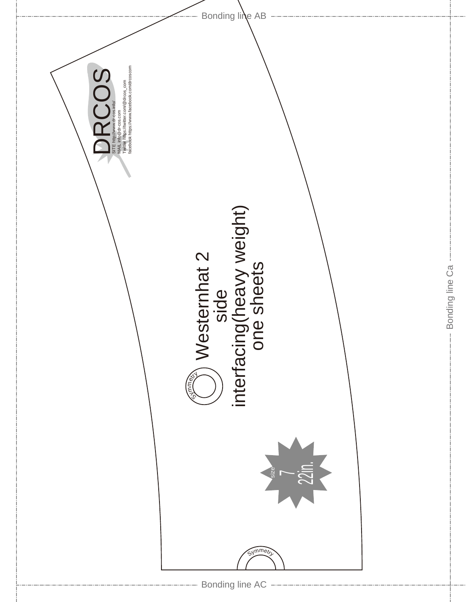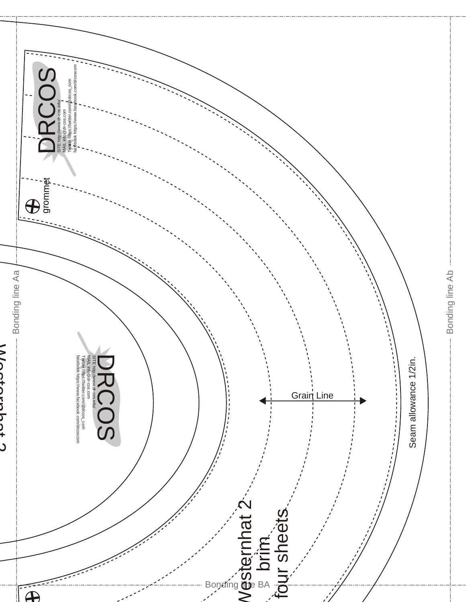